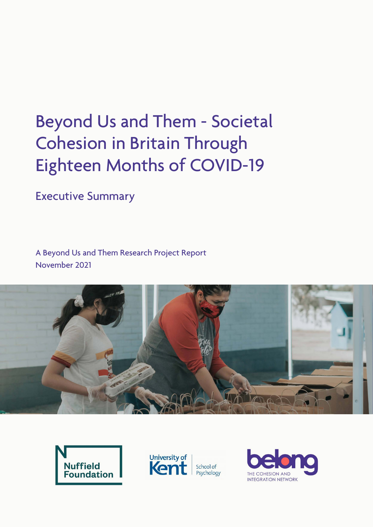# Beyond Us and Them - Societal Cohesion in Britain Through Eighteen Months of COVID-19

Executive Summary

A Beyond Us and Them Research Project Report November 2021







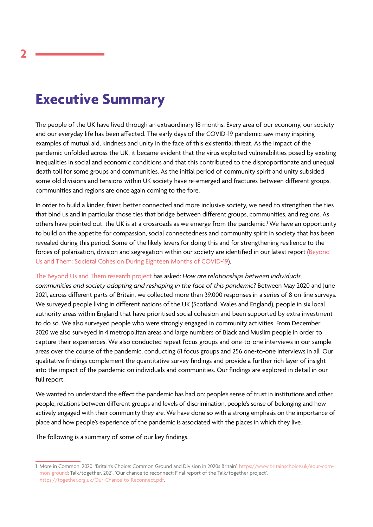# **Executive Summary**

The people of the UK have lived through an extraordinary 18 months. Every area of our economy, our society and our everyday life has been affected. The early days of the COVID-19 pandemic saw many inspiring examples of mutual aid, kindness and unity in the face of this existential threat. As the impact of the pandemic unfolded across the UK, it became evident that the virus exploited vulnerabilities posed by existing inequalities in social and economic conditions and that this contributed to the disproportionate and unequal death toll for some groups and communities. As the initial period of community spirit and unity subsided some old divisions and tensions within UK society have re-emerged and fractures between different groups, communities and regions are once again coming to the fore.

In order to build a kinder, fairer, better connected and more inclusive society, we need to strengthen the ties that bind us and in particular those ties that bridge between different groups, communities, and regions. As others have pointed out, the UK is at a crossroads as we emerge from the pandemic.' We have an opportunity to build on the appetite for compassion, social connectedness and community spirit in society that has been revealed during this period. Some of the likely levers for doing this and for strengthening resilience to the forces of polarisation, division and segregation within our society are identified in our latest report [\(Beyond](https://www.belongnetwork.co.uk/resources/beyond-us-and-them-societal-cohesion-in-britain-through-eighteen-months-of-covid-19/)  [Us and Them: Societal Cohesion During Eighteen Months of COVID-19](https://www.belongnetwork.co.uk/resources/beyond-us-and-them-societal-cohesion-in-britain-through-eighteen-months-of-covid-19/)).

[The Beyond Us and Them research project](https://www.belongnetwork.co.uk/research-projects/beyond-us-and-them-research-project/) has asked: *How are relationships between individuals, communities and society adapting and reshaping in the face of this pandemic?* Between May 2020 and June 2021, across different parts of Britain, we collected more than 39,000 responses in a series of 8 on-line surveys. We surveyed people living in different nations of the UK (Scotland, Wales and England), people in six local authority areas within England that have prioritised social cohesion and been supported by extra investment to do so. We also surveyed people who were strongly engaged in community activities. From December 2020 we also surveyed in 4 metropolitan areas and large numbers of Black and Muslim people in order to capture their experiences. We also conducted repeat focus groups and one-to-one interviews in our sample areas over the course of the pandemic, conducting 61 focus groups and 256 one-to-one interviews in all .Our qualitative findings complement the quantitative survey findings and provide a further rich layer of insight into the impact of the pandemic on individuals and communities. Our findings are explored in detail in our full report.

We wanted to understand the effect the pandemic has had on: people's sense of trust in institutions and other people, relations between different groups and levels of discrimination, people's sense of belonging and how actively engaged with their community they are. We have done so with a strong emphasis on the importance of place and how people's experience of the pandemic is associated with the places in which they live.

The following is a summary of some of our key findings.

<sup>1</sup> More in Common. 2020. 'Britain's Choice: Common Ground and Division in 2020s Britain', https://www.britainschoice.uk/#our-common-ground; Talk/together. 2021. 'Our chance to reconnect: Final report of the Talk/together project', https://together.org.uk/Our-Chance-to-Reconnect.pdf.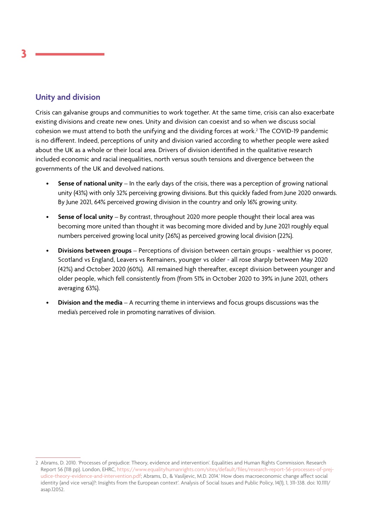# **Unity and division**

Crisis can galvanise groups and communities to work together. At the same time, crisis can also exacerbate existing divisions and create new ones. Unity and division can coexist and so when we discuss social cohesion we must attend to both the unifying and the dividing forces at work.2 The COVID-19 pandemic is no different. Indeed, perceptions of unity and division varied according to whether people were asked about the UK as a whole or their local area. Drivers of division identified in the qualitative research included economic and racial inequalities, north versus south tensions and divergence between the governments of the UK and devolved nations.

- **Sense of national unity** In the early days of the crisis, there was a perception of growing national unity (43%) with only 32% perceiving growing divisions. But this quickly faded from June 2020 onwards. By June 2021, 64% perceived growing division in the country and only 16% growing unity.
- **Sense of local unity** By contrast, throughout 2020 more people thought their local area was becoming more united than thought it was becoming more divided and by June 2021 roughly equal numbers perceived growing local unity (26%) as perceived growing local division (22%).
- **Divisions between groups** Perceptions of division between certain groups wealthier vs poorer, Scotland vs England, Leavers vs Remainers, younger vs older - all rose sharply between May 2020 (42%) and October 2020 (60%). All remained high thereafter, except division between younger and older people, which fell consistently from (from 51% in October 2020 to 39% in June 2021, others averaging 63%).
- **Division and the media** A recurring theme in interviews and focus groups discussions was the media's perceived role in promoting narratives of division.

<sup>2</sup> Abrams, D. 2010. 'Processes of prejudice: Theory, evidence and intervention'. Equalities and Human Rights Commission. Research Report 56 (118 pp). London, EHRC, https://www.equalityhumanrights.com/sites/default/files/research-report-56-processes-of-prejudice-theory-evidence-and-intervention.pdf; Abrams, D., & Vasiljevic, M.D. 2014.' How does macroeconomic change affect social identity (and vice versa)?: Insights from the European context'. Analysis of Social Issues and Public Policy, 14(1), 1, 311-338. doi: 10.1111/ asap.12052.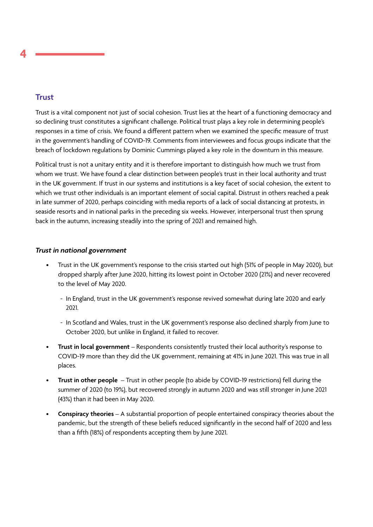# **Trust**

Trust is a vital component not just of social cohesion. Trust lies at the heart of a functioning democracy and so declining trust constitutes a significant challenge. Political trust plays a key role in determining people's responses in a time of crisis. We found a different pattern when we examined the specific measure of trust in the government's handling of COVID-19. Comments from interviewees and focus groups indicate that the breach of lockdown regulations by Dominic Cummings played a key role in the downturn in this measure.

Political trust is not a unitary entity and it is therefore important to distinguish how much we trust from whom we trust. We have found a clear distinction between people's trust in their local authority and trust in the UK government. If trust in our systems and institutions is a key facet of social cohesion, the extent to which we trust other individuals is an important element of social capital. Distrust in others reached a peak in late summer of 2020, perhaps coinciding with media reports of a lack of social distancing at protests, in seaside resorts and in national parks in the preceding six weeks. However, interpersonal trust then sprung back in the autumn, increasing steadily into the spring of 2021 and remained high.

#### *Trust in national government*

- Trust in the UK government's response to the crisis started out high (51% of people in May 2020), but dropped sharply after June 2020, hitting its lowest point in October 2020 (21%) and never recovered to the level of May 2020.
	- In England, trust in the UK government's response revived somewhat during late 2020 and early 2021.
	- In Scotland and Wales, trust in the UK government's response also declined sharply from June to October 2020, but unlike in England, it failed to recover.
- **Trust in local government** Respondents consistently trusted their local authority's response to COVID-19 more than they did the UK government, remaining at 41% in June 2021. This was true in all places.
- **Trust in other people** Trust in other people (to abide by COVID-19 restrictions) fell during the summer of 2020 (to 19%), but recovered strongly in autumn 2020 and was still stronger in June 2021 (43%) than it had been in May 2020.
- **Conspiracy theories** A substantial proportion of people entertained conspiracy theories about the pandemic, but the strength of these beliefs reduced significantly in the second half of 2020 and less than a fifth (18%) of respondents accepting them by June 2021.

**4**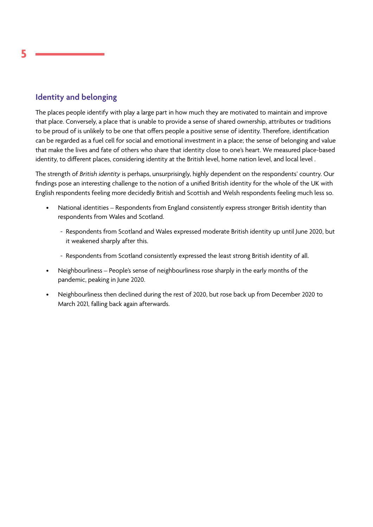# **Identity and belonging**

The places people identify with play a large part in how much they are motivated to maintain and improve that place. Conversely, a place that is unable to provide a sense of shared ownership, attributes or traditions to be proud of is unlikely to be one that offers people a positive sense of identity. Therefore, identification can be regarded as a fuel cell for social and emotional investment in a place; the sense of belonging and value that make the lives and fate of others who share that identity close to one's heart. We measured place-based identity, to different places, considering identity at the British level, home nation level, and local level .

The strength of *British identity* is perhaps, unsurprisingly, highly dependent on the respondents' country. Our findings pose an interesting challenge to the notion of a unified British identity for the whole of the UK with English respondents feeling more decidedly British and Scottish and Welsh respondents feeling much less so.

- National identities Respondents from England consistently express stronger British identity than respondents from Wales and Scotland.
	- Respondents from Scotland and Wales expressed moderate British identity up until June 2020, but it weakened sharply after this.
	- Respondents from Scotland consistently expressed the least strong British identity of all.
- Neighbourliness People's sense of neighbourliness rose sharply in the early months of the pandemic, peaking in June 2020.
- Neighbourliness then declined during the rest of 2020, but rose back up from December 2020 to March 2021, falling back again afterwards.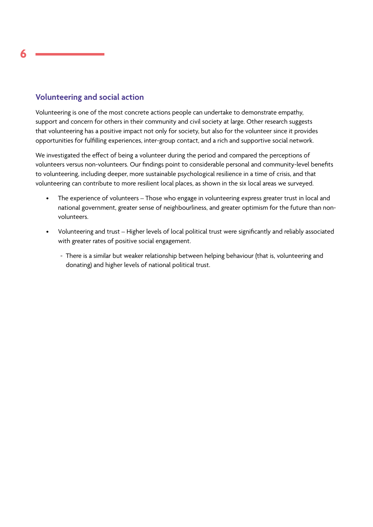# **Volunteering and social action**

Volunteering is one of the most concrete actions people can undertake to demonstrate empathy, support and concern for others in their community and civil society at large. Other research suggests that volunteering has a positive impact not only for society, but also for the volunteer since it provides opportunities for fulfilling experiences, inter-group contact, and a rich and supportive social network.

We investigated the effect of being a volunteer during the period and compared the perceptions of volunteers versus non-volunteers. Our findings point to considerable personal and community-level benefits to volunteering, including deeper, more sustainable psychological resilience in a time of crisis, and that volunteering can contribute to more resilient local places, as shown in the six local areas we surveyed.

- The experience of volunteers Those who engage in volunteering express greater trust in local and national government, greater sense of neighbourliness, and greater optimism for the future than nonvolunteers.
- Volunteering and trust Higher levels of local political trust were significantly and reliably associated with greater rates of positive social engagement.
	- There is a similar but weaker relationship between helping behaviour (that is, volunteering and donating) and higher levels of national political trust.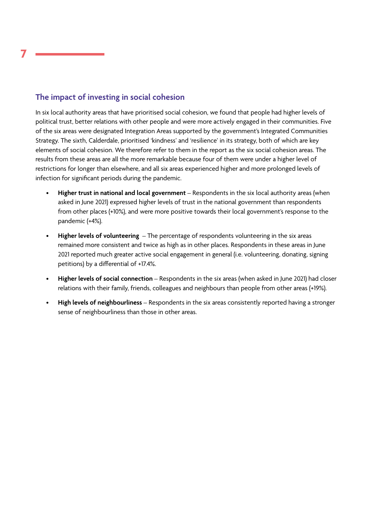# **The impact of investing in social cohesion**

In six local authority areas that have prioritised social cohesion, we found that people had higher levels of political trust, better relations with other people and were more actively engaged in their communities. Five of the six areas were designated Integration Areas supported by the government's Integrated Communities Strategy. The sixth, Calderdale, prioritised 'kindness' and 'resilience' in its strategy, both of which are key elements of social cohesion. We therefore refer to them in the report as the six social cohesion areas. The results from these areas are all the more remarkable because four of them were under a higher level of restrictions for longer than elsewhere, and all six areas experienced higher and more prolonged levels of infection for significant periods during the pandemic.

- **Higher trust in national and local government** Respondents in the six local authority areas (when asked in June 2021) expressed higher levels of trust in the national government than respondents from other places (+10%), and were more positive towards their local government's response to the pandemic (+4%).
- **Higher levels of volunteering** The percentage of respondents volunteering in the six areas remained more consistent and twice as high as in other places. Respondents in these areas in June 2021 reported much greater active social engagement in general (i.e. volunteering, donating, signing petitions) by a differential of +17.4%.
- **Higher levels of social connection** Respondents in the six areas (when asked in June 2021) had closer relations with their family, friends, colleagues and neighbours than people from other areas (+19%).
- **High levels of neighbourliness** Respondents in the six areas consistently reported having a stronger sense of neighbourliness than those in other areas.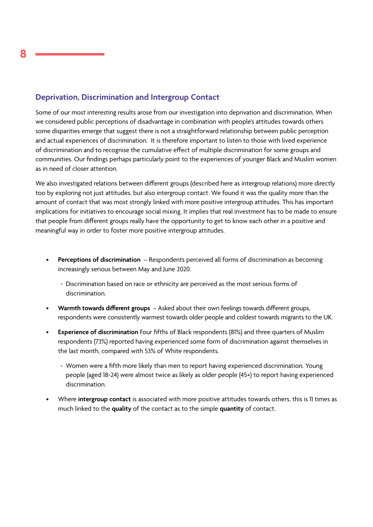# **Deprivation, Discrimination and Intergroup Contact**

Some of our most interesting results arose from our investigation into deprivation and discrimination. When we considered public perceptions of disadvantage in combination with people's attitudes towards others some disparities emerge that suggest there is not a straightforward relationship between public perception and actual experiences of discrimination. It is therefore important to listen to those with lived experience of discrimination and to recognise the cumulative effect of multiple discrimination for some groups and communities. Our findings perhaps particularly point to the experiences of younger Black and Muslim women as in need of closer attention.

We also investigated relations between different groups (described here as intergroup relations) more directly too by exploring not just attitudes, but also intergroup contact. We found it was the quality more than the amount of contact that was most strongly linked with more positive intergroup attitudes. This has important implications for initiatives to encourage social mixing. It implies that real investment has to be made to ensure that people from different groups really have the opportunity to get to know each other in a positive and meaningful way in order to foster more positive intergroup attitudes.

- **Perceptions of discrimination** Respondents perceived all forms of discrimination as becoming increasingly serious between May and June 2020.
	- Discrimination based on race or ethnicity are perceived as the most serious forms of discrimination.
- **Warmth towards different groups** Asked about their own feelings towards different groups, respondents were consistently warmest towards older people and coldest towards migrants to the UK.
- **Experience of discrimination** Four fifths of Black respondents (81%) and three quarters of Muslim respondents (73%) reported having experienced some form of discrimination against themselves in the last month, compared with 53% of White respondents.
	- Women were a fifth more likely than men to report having experienced discrimination. Young people (aged 18-24) were almost twice as likely as older people (45+) to report having experienced discrimination.
- Where **intergroup contact** is associated with more positive attitudes towards others, this is 11 times as much linked to the **quality** of the contact as to the simple **quantity** of contact.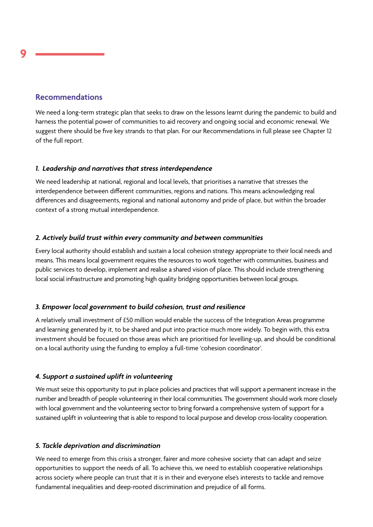### **Recommendations**

We need a long-term strategic plan that seeks to draw on the lessons learnt during the pandemic to build and harness the potential power of communities to aid recovery and ongoing social and economic renewal. We suggest there should be five key strands to that plan. For our Recommendations in full please see Chapter 12 of the full report.

#### *1. Leadership and narratives that stress interdependence*

We need leadership at national, regional and local levels, that prioritises a narrative that stresses the interdependence between different communities, regions and nations. This means acknowledging real differences and disagreements, regional and national autonomy and pride of place, but within the broader context of a strong mutual interdependence.

#### *2. Actively build trust within every community and between communities*

Every local authority should establish and sustain a local cohesion strategy appropriate to their local needs and means. This means local government requires the resources to work together with communities, business and public services to develop, implement and realise a shared vision of place. This should include strengthening local social infrastructure and promoting high quality bridging opportunities between local groups.

#### *3. Empower local government to build cohesion, trust and resilience*

A relatively small investment of £50 million would enable the success of the Integration Areas programme and learning generated by it, to be shared and put into practice much more widely. To begin with, this extra investment should be focused on those areas which are prioritised for levelling-up, and should be conditional on a local authority using the funding to employ a full-time 'cohesion coordinator'.

#### *4. Support a sustained uplift in volunteering*

We must seize this opportunity to put in place policies and practices that will support a permanent increase in the number and breadth of people volunteering in their local communities. The government should work more closely with local government and the volunteering sector to bring forward a comprehensive system of support for a sustained uplift in volunteering that is able to respond to local purpose and develop cross-locality cooperation.

#### *5. Tackle deprivation and discrimination*

We need to emerge from this crisis a stronger, fairer and more cohesive society that can adapt and seize opportunities to support the needs of all. To achieve this, we need to establish cooperative relationships across society where people can trust that it is in their and everyone else's interests to tackle and remove fundamental inequalities and deep-rooted discrimination and prejudice of all forms.

**9**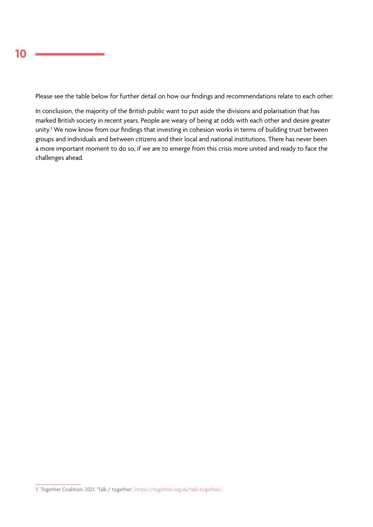Please see the table below for further detail on how our findings and recommendations relate to each other.

In conclusion, the majority of the British public want to put aside the divisions and polarisation that has marked British society in recent years. People are weary of being at odds with each other and desire greater unity.3 We now know from our findings that investing in cohesion works in terms of building trust between groups and individuals and between citizens and their local and national institutions. There has never been a more important moment to do so, if we are to emerge from this crisis more united and ready to face the challenges ahead.

<sup>3</sup> Together Coalition. 2021. 'Talk / together', https://together.org.uk/talk-together/.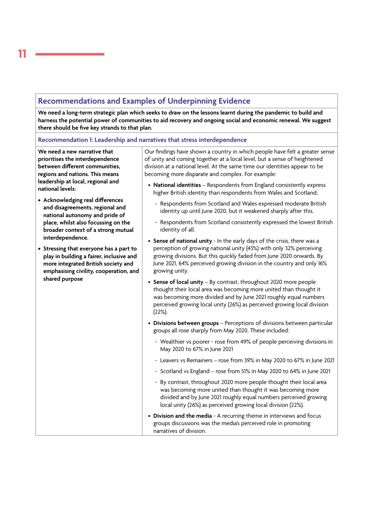# **Recommendations and Examples of Underpinning Evidence**

**We need a long-term strategic plan which seeks to draw on the lessons learnt during the pandemic to build and harness the potential power of communities to aid recovery and ongoing social and economic renewal. We suggest there should be five key strands to that plan.**

**Recommendation 1: Leadership and narratives that stress interdependence**

**We need a new narrative that prioritises the interdependence between different communities, regions and nations. This means leadership at local, regional and national levels:**

- **Acknowledging real differences and disagreements, regional and national autonomy and pride of place, whilst also focussing on the broader context of a strong mutual interdependence.**
- **Stressing that everyone has a part to play in building a fairer, inclusive and more integrated British society and emphasising civility, cooperation, and shared purpose**

Our findings have shown a country in which people have felt a greater sense of unity and coming together at a local level, but a sense of heightened division at a national level. At the same time our identities appear to be becoming more disparate and complex. For example:

- **National identities** Respondents from England consistently express higher British identity than respondents from Wales and Scotland;
	- Respondents from Scotland and Wales expressed moderate British identity up until June 2020, but it weakened sharply after this.
	- Respondents from Scotland consistently expressed the lowest British identity of all.
- **Sense of national unity** In the early days of the crisis, there was a perception of growing national unity (43%) with only 32% perceiving growing divisions. But this quickly faded from June 2020 onwards. By June 2021, 64% perceived growing division in the country and only 16% growing unity.
- **Sense of local unity** By contrast, throughout 2020 more people thought their local area was becoming more united than thought it was becoming more divided and by June 2021 roughly equal numbers perceived growing local unity (26%) as perceived growing local division (22%).
- **Divisions between groups**  Perceptions of divisions between particular groups all rose sharply from May 2020. These included:
	- Wealthier vs poorer rose from 49% of people perceiving divisions in May 2020 to 67% in June 2021
	- Leavers vs Remainers rose from 39% in May 2020 to 67% in June 2021
	- Scotland vs England rose from 51% in May 2020 to 64% in June 2021
	- By contrast, throughout 2020 more people thought their local area was becoming more united than thought it was becoming more divided and by June 2021 roughly equal numbers perceived growing local unity (26%) as perceived growing local division (22%).
- **Division and the media** A recurring theme in interviews and focus groups discussions was the media's perceived role in promoting narratives of division.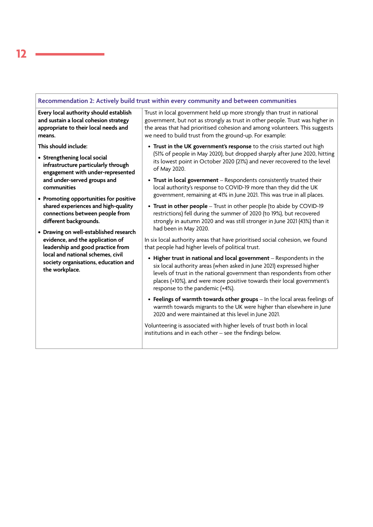#### **Recommendation 2: Actively build trust within every community and between communities**

**Every local authority should establish and sustain a local cohesion strategy appropriate to their local needs and means.** 

**This should include:**

- **Strengthening local social infrastructure particularly through engagement with under-represented and under-served groups and communities**
- **Promoting opportunities for positive shared experiences and high-quality connections between people from different backgrounds.**
- **Drawing on well-established research evidence, and the application of leadership and good practice from local and national schemes, civil society organisations, education and the workplace.**

Trust in local government held up more strongly than trust in national government, but not as strongly as trust in other people. Trust was higher in the areas that had prioritised cohesion and among volunteers. This suggests we need to build trust from the ground-up. For example:

- **Trust in the UK government's response** to the crisis started out high (51% of people in May 2020), but dropped sharply after June 2020, hitting its lowest point in October 2020 (21%) and never recovered to the level of May 2020.
- **Trust in local government** Respondents consistently trusted their local authority's response to COVID-19 more than they did the UK government, remaining at 41% in June 2021. This was true in all places.
- **Trust in other people** Trust in other people (to abide by COVID-19 restrictions) fell during the summer of 2020 (to 19%), but recovered strongly in autumn 2020 and was still stronger in June 2021 (43%) than it had been in May 2020.

In six local authority areas that have prioritised social cohesion, we found that people had higher levels of political trust.

- **Higher trust in national and local government** Respondents in the six local authority areas (when asked in June 2021) expressed higher levels of trust in the national government than respondents from other places (+10%), and were more positive towards their local government's response to the pandemic (+4%).
- **Feelings of warmth towards other groups** In the local areas feelings of warmth towards migrants to the UK were higher than elsewhere in June 2020 and were maintained at this level in June 2021.

Volunteering is associated with higher levels of trust both in local institutions and in each other – see the findings below.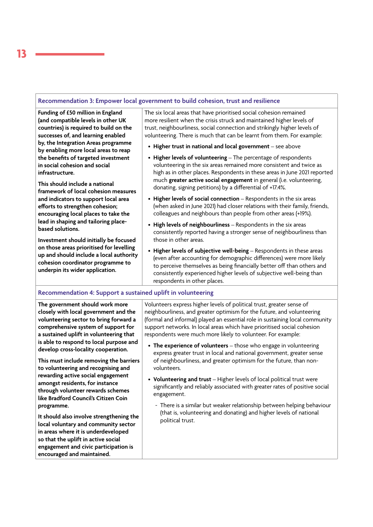#### **Recommendation 3: Empower local government to build cohesion, trust and resilience**

**Funding of £50 million in England (and compatible levels in other UK countries) is required to build on the successes of, and learning enabled by, the Integration Areas programme by enabling more local areas to reap the benefits of targeted investment in social cohesion and social infrastructure.** 

**This should include a national framework of local cohesion measures and indicators to support local area efforts to strengthen cohesion; encouraging local places to take the lead in shaping and tailoring placebased solutions.**

**Investment should initially be focused on those areas prioritised for levelling up and should include a local authority cohesion coordinator programme to underpin its wider application.**

The six local areas that have prioritised social cohesion remained more resilient when the crisis struck and maintained higher levels of trust, neighbourliness, social connection and strikingly higher levels of volunteering. There is much that can be learnt from them. For example:

- **Higher trust in national and local government** see above
- **Higher levels of volunteering** The percentage of respondents volunteering in the six areas remained more consistent and twice as high as in other places. Respondents in these areas in June 2021 reported much **greater active social engagement** in general (i.e. volunteering, donating, signing petitions) by a differential of +17.4%.
- **Higher levels of social connection** Respondents in the six areas (when asked in June 2021) had closer relations with their family, friends, colleagues and neighbours than people from other areas (+19%).
- **High levels of neighbourliness** Respondents in the six areas consistently reported having a stronger sense of neighbourliness than those in other areas.
- **Higher levels of subjective well-being** Respondents in these areas (even after accounting for demographic differences) were more likely to perceive themselves as being financially better off than others and consistently experienced higher levels of subjective well-being than respondents in other places.

#### **Recommendation 4: Support a sustained uplift in volunteering**

**The government should work more closely with local government and the volunteering sector to bring forward a comprehensive system of support for a sustained uplift in volunteering that is able to respond to local purpose and develop cross-locality cooperation.**

**This must include removing the barriers to volunteering and recognising and rewarding active social engagement amongst residents, for instance through volunteer rewards schemes like Bradford Council's Citizen Coin programme.**

**It should also involve strengthening the local voluntary and community sector in areas where it is underdeveloped so that the uplift in active social engagement and civic participation is encouraged and maintained.**

Volunteers express higher levels of political trust, greater sense of neighbourliness, and greater optimism for the future, and volunteering (formal and informal) played an essential role in sustaining local community support networks. In local areas which have prioritised social cohesion respondents were much more likely to volunteer. For example:

- **The experience of volunteers** those who engage in volunteering express greater trust in local and national government, greater sense of neighbourliness, and greater optimism for the future, than nonvolunteers.
- **Volunteering and trust** Higher levels of local political trust were significantly and reliably associated with greater rates of positive social engagement.
	- There is a similar but weaker relationship between helping behaviour (that is, volunteering and donating) and higher levels of national political trust.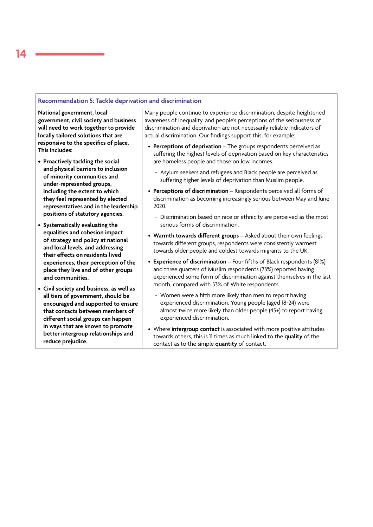#### **Recommendation 5: Tackle deprivation and discrimination**

**National government, local government, civil society and business will need to work together to provide locally tailored solutions that are responsive to the specifics of place. This includes:**

- **Proactively tackling the social and physical barriers to inclusion of minority communities and under-represented groups, including the extent to which they feel represented by elected representatives and in the leadership positions of statutory agencies.**
- **Systematically evaluating the equalities and cohesion impact of strategy and policy at national and local levels, and addressing their effects on residents lived experiences, their perception of the place they live and of other groups and communities.**
- **Civil society and business, as well as all tiers of government, should be encouraged and supported to ensure that contacts between members of different social groups can happen in ways that are known to promote better intergroup relationships and reduce prejudice.**

Many people continue to experience discrimination, despite heightened awareness of inequality, and people's perceptions of the seriousness of discrimination and deprivation are not necessarily reliable indicators of actual discrimination. Our findings support this, for example:

- **Perceptions of deprivation** The groups respondents perceived as suffering the highest levels of deprivation based on key characteristics are homeless people and those on low incomes.
	- Asylum seekers and refugees and Black people are perceived as suffering higher levels of deprivation than Muslim people.
- **Perceptions of discrimination** Respondents perceived all forms of discrimination as becoming increasingly serious between May and June 2020.
	- Discrimination based on race or ethnicity are perceived as the most serious forms of discrimination.
- **Warmth towards different groups** Asked about their own feelings towards different groups, respondents were consistently warmest towards older people and coldest towards migrants to the UK.
- **Experience of discrimination** Four fifths of Black respondents (81%) and three quarters of Muslim respondents (73%) reported having experienced some form of discrimination against themselves in the last month, compared with 53% of White respondents.
	- Women were a fifth more likely than men to report having experienced discrimination. Young people (aged 18-24) were almost twice more likely than older people (45+) to report having experienced discrimination.
- Where **intergroup contact** is associated with more positive attitudes towards others, this is 11 times as much linked to the **quality** of the contact as to the simple **quantity** of contact.